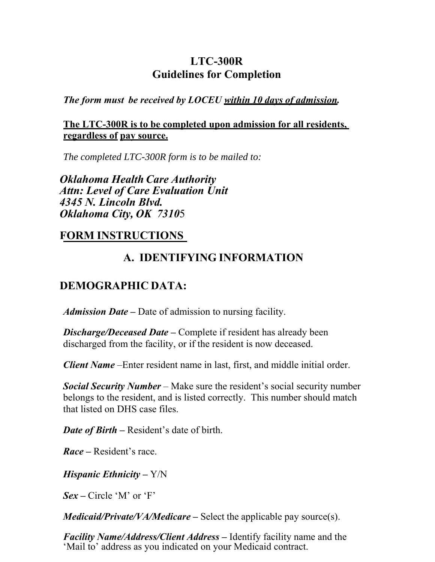## **LTC-300R Guidelines for Completion**

*The form must be received by LOCEU within 10 days of admission.*

### **The LTC-300R is to be completed upon admission for all residents, regardless of pay source.**

*The completed LTC-300R form is to be mailed to:*

*Oklahoma Health Care Authority Attn: Level of Care Evaluation Unit 4345 N. Lincoln Blvd. Oklahoma City, OK 7310*5

## **FORM INSTRUCTIONS**

# **A. IDENTIFYING INFORMATION**

# **DEMOGRAPHIC DATA:**

*Admission Date* **–** Date of admission to nursing facility.

*Discharge/Deceased Date – Complete if resident has already been* discharged from the facility, or if the resident is now deceased.

*Client Name* –Enter resident name in last, first, and middle initial order.

*Social Security Number* – Make sure the resident's social security number belongs to the resident, and is listed correctly. This number should match that listed on DHS case files.

*Date of Birth* **–** Resident's date of birth.

*Race* **–** Resident's race.

*Hispanic Ethnicity* **–** Y/N

*Sex* **–** Circle 'M' or 'F'

*Medicaid/Private/VA/Medicare* **–** Select the applicable pay source(s).

*Facility Name/Address/Client Address* **–** Identify facility name and the 'Mail to' address as you indicated on your Medicaid contract.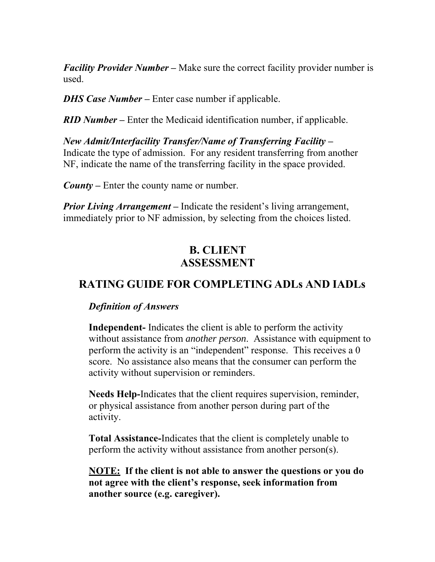*Facility Provider Number* – Make sure the correct facility provider number is used.

*DHS Case Number* – Enter case number if applicable.

*RID Number* **–** Enter the Medicaid identification number, if applicable.

*New Admit/Interfacility Transfer/Name of Transferring Facility* **–**  Indicate the type of admission. For any resident transferring from another NF, indicate the name of the transferring facility in the space provided.

*County* **–** Enter the county name or number.

*Prior Living Arrangement* – Indicate the resident's living arrangement, immediately prior to NF admission, by selecting from the choices listed.

## **B. CLIENT ASSESSMENT**

# **RATING GUIDE FOR COMPLETING ADLs AND IADLs**

### *Definition of Answers*

**Independent-** Indicates the client is able to perform the activity without assistance from *another person*. Assistance with equipment to perform the activity is an "independent" response. This receives a 0 score. No assistance also means that the consumer can perform the activity without supervision or reminders.

**Needs Help-**Indicates that the client requires supervision, reminder, or physical assistance from another person during part of the activity.

**Total Assistance-**Indicates that the client is completely unable to perform the activity without assistance from another person(s).

**NOTE: If the client is not able to answer the questions or you do not agree with the client's response, seek information from another source (e.g. caregiver).**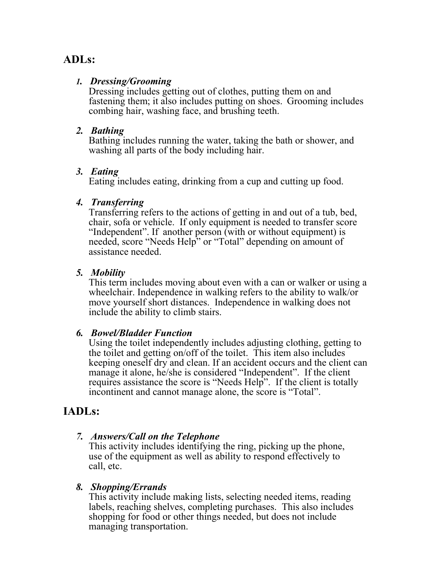## **ADLs:**

### *1. Dressing/Grooming*

Dressing includes getting out of clothes, putting them on and fastening them; it also includes putting on shoes. Grooming includes combing hair, washing face, and brushing teeth.

#### *2. Bathing*

Bathing includes running the water, taking the bath or shower, and washing all parts of the body including hair.

#### *3. Eating*

Eating includes eating, drinking from a cup and cutting up food.

### *4. Transferring*

Transferring refers to the actions of getting in and out of a tub, bed, chair, sofa or vehicle. If only equipment is needed to transfer score "Independent". If another person (with or without equipment) is needed, score "Needs Help" or "Total" depending on amount of assistance needed.

### *5. Mobility*

This term includes moving about even with a can or walker or using a wheelchair. Independence in walking refers to the ability to walk/or move yourself short distances. Independence in walking does not include the ability to climb stairs.

### *6. Bowel/Bladder Function*

Using the toilet independently includes adjusting clothing, getting to the toilet and getting on/off of the toilet. This item also includes keeping oneself dry and clean. If an accident occurs and the client can manage it alone, he/she is considered "Independent". If the client requires assistance the score is "Needs Help". If the client is totally incontinent and cannot manage alone, the score is "Total".

### **IADLs:**

### *7. Answers/Call on the Telephone*

This activity includes identifying the ring, picking up the phone, use of the equipment as well as ability to respond effectively to call, etc.

#### *8. Shopping/Errands*

This activity include making lists, selecting needed items, reading labels, reaching shelves, completing purchases. This also includes shopping for food or other things needed, but does not include managing transportation.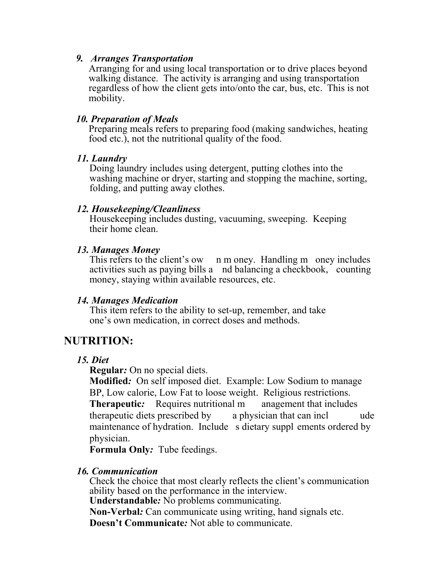#### *9. Arranges Transportation*

Arranging for and using local transportation or to drive places beyond walking distance. The activity is arranging and using transportation regardless of how the client gets into/onto the car, bus, etc. This is not mobility.

#### *10. Preparation of Meals*

Preparing meals refers to preparing food (making sandwiches, heating food etc.), not the nutritional quality of the food.

#### *11. Laundry*

Doing laundry includes using detergent, putting clothes into the washing machine or dryer, starting and stopping the machine, sorting, folding, and putting away clothes.

### *12. Housekeeping/Cleanliness*

Housekeeping includes dusting, vacuuming, sweeping. Keeping their home clean.

### *13. Manages Money*

This refers to the client's ow n m oney. Handling m oney includes activities such as paying bills a nd balancing a checkbook, counting money, staying within available resources, etc.

### *14. Manages Medication*

This item refers to the ability to set-up, remember, and take one's own medication, in correct doses and methods.

## **NUTRITION:**

### *15. Diet*

**Regular***:* On no special diets.

**Modified***:* On self imposed diet. Example: Low Sodium to manage BP, Low calorie, Low Fat to loose weight. Religious restrictions. **Therapeutic:** Requires nutritional m anagement that includes therapeutic diets prescribed by a physician that can incl ude maintenance of hydration. Include s dietary suppl ements ordered by physician.

**Formula Only***:* Tube feedings.

### *16. Communication*

Check the choice that most clearly reflects the client's communication ability based on the performance in the interview.

**Understandable***:* No problems communicating.

**Non-Verbal***:* Can communicate using writing, hand signals etc.

**Doesn't Communicate***:* Not able to communicate.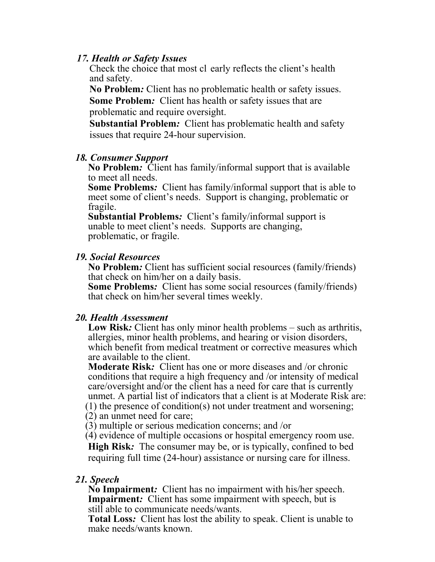#### *17. Health or Safety Issues*

Check the choice that most cl early reflects the client's health and safety.

**No Problem***:* Client has no problematic health or safety issues. **Some Problem***:* Client has health or safety issues that are problematic and require oversight.

**Substantial Problem***:* Client has problematic health and safety issues that require 24-hour supervision.

#### *18. Consumer Support*

**No Problem***:* Client has family/informal support that is available to meet all needs.

**Some Problems***:* Client has family/informal support that is able to meet some of client's needs. Support is changing, problematic or fragile.

**Substantial Problems***:* Client's family/informal support is unable to meet client's needs. Supports are changing, problematic, or fragile.

#### *19. Social Resources*

**No Problem***:* Client has sufficient social resources (family/friends) that check on him/her on a daily basis.

**Some Problems***:* Client has some social resources (family/friends) that check on him/her several times weekly.

### *20. Health Assessment*

**Low Risk***:* Client has only minor health problems – such as arthritis, allergies, minor health problems, and hearing or vision disorders, which benefit from medical treatment or corrective measures which are available to the client.

**Moderate Risk***:* Client has one or more diseases and /or chronic conditions that require a high frequency and /or intensity of medical care/oversight and/or the client has a need for care that is currently unmet. A partial list of indicators that a client is at Moderate Risk are: (1) the presence of condition(s) not under treatment and worsening;

(2) an unmet need for care;

(3) multiple or serious medication concerns; and /or

(4) evidence of multiple occasions or hospital emergency room use.

**High Risk***:* The consumer may be, or is typically, confined to bed requiring full time (24-hour) assistance or nursing care for illness.

### *21. Speech*

**No Impairment***:* Client has no impairment with his/her speech. **Impairment:** Client has some impairment with speech, but is still able to communicate needs/wants.

**Total Loss***:* Client has lost the ability to speak. Client is unable to make needs/wants known.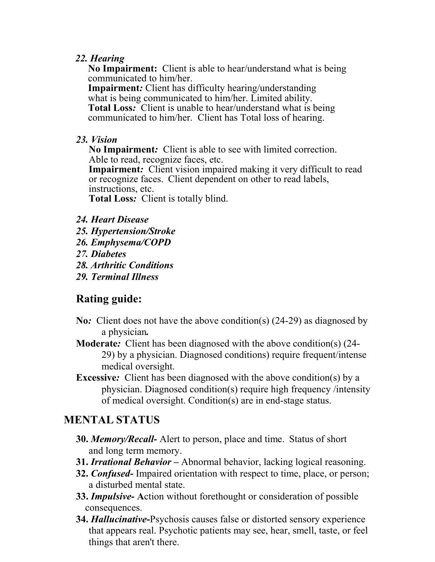### *22. Hearing*

**No Impairment:** Client is able to hear/understand what is being communicated to him/her.

**Impairment***:* Client has difficulty hearing/understanding what is being communicated to him/her. Limited ability. **Total Loss***:* Client is unable to hear/understand what is being communicated to him/her. Client has Total loss of hearing.

### *23. Vision*

**No Impairment***:* Client is able to see with limited correction. Able to read, recognize faces, etc.

**Impairment:** Client vision impaired making it very difficult to read or recognize faces. Client dependent on other to read labels, instructions, etc.

**Total Loss***:* Client is totally blind.

- *24. Heart Disease*
- *25. Hypertension/Stroke*
- *26. Emphysema/COPD*
- *27. Diabetes*
- *28. Arthritic Conditions*
- *29. Terminal Illness*

# **Rating guide:**

- **No***:* Client does not have the above condition(s) (24-29) as diagnosed by a physician*.*
- **Moderate***:* Client has been diagnosed with the above condition(s) (24- 29) by a physician. Diagnosed conditions) require frequent/intense medical oversight.
- **Excessive:** Client has been diagnosed with the above condition(s) by a physician. Diagnosed condition(s) require high frequency /intensity of medical oversight. Condition(s) are in end-stage status.

## **MENTAL STATUS**

- **30.** *Memory/Recall*Alert to person, place and time. Status of short and long term memory.
- **31.** *Irrational Behavior* Abnormal behavior, lacking logical reasoning.
- **32.** *Confused*Impaired orientation with respect to time, place, or person; a disturbed mental state.
- **33.** *Impulsive* **A**ction without forethought or consideration of possible consequences.
- **34.** *Hallucinative***-**Psychosis causes false or distorted sensory experience that appears real. Psychotic patients may see, hear, smell, taste, or feel things that aren't there.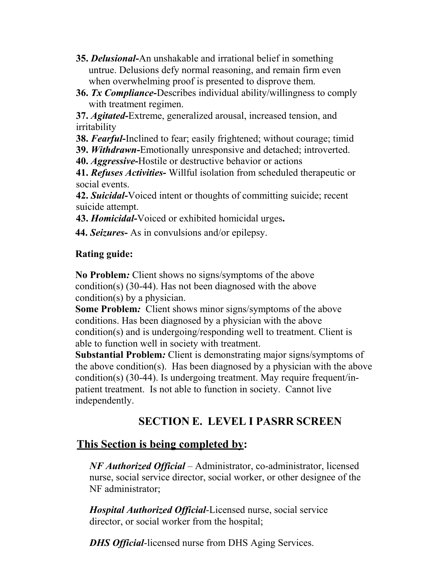- **35.** *Delusional***-**An unshakable and irrational belief in something untrue. Delusions defy normal reasoning, and remain firm even when overwhelming proof is presented to disprove them.
- **36.** *Tx Compliance***-**Describes individual ability/willingness to comply with treatment regimen.

**37.** *Agitated***-**Extreme, generalized arousal, increased tension, and irritability

**38.** *Fearful***-**Inclined to fear; easily frightened; without courage; timid

**39.** *Withdrawn***-**Emotionally unresponsive and detached; introverted.

**40.** *Aggressive***-**Hostile or destructive behavior or actions

**41.** *Refuses Activities***-** Willful isolation from scheduled therapeutic or social events.

**42.** *Suicidal***-**Voiced intent or thoughts of committing suicide; recent suicide attempt.

**43.** *Homicidal***-**Voiced or exhibited homicidal urges**.**

**44.** *Seizures***-** As in convulsions and/or epilepsy.

### **Rating guide:**

**No Problem***:* Client shows no signs/symptoms of the above condition(s) (30-44). Has not been diagnosed with the above condition(s) by a physician.

**Some Problem***:* Client shows minor signs/symptoms of the above conditions. Has been diagnosed by a physician with the above condition(s) and is undergoing/responding well to treatment. Client is able to function well in society with treatment.

**Substantial Problem***:* Client is demonstrating major signs/symptoms of the above condition(s). Has been diagnosed by a physician with the above condition(s) (30-44). Is undergoing treatment. May require frequent/inpatient treatment. Is not able to function in society. Cannot live independently.

# **SECTION E. LEVEL I PASRR SCREEN**

## **This Section is being completed by:**

*NF Authorized Official* – Administrator, co-administrator, licensed nurse, social service director, social worker, or other designee of the NF administrator;

*Hospital Authorized Official*-Licensed nurse, social service director, or social worker from the hospital;

*DHS Official*-licensed nurse from DHS Aging Services.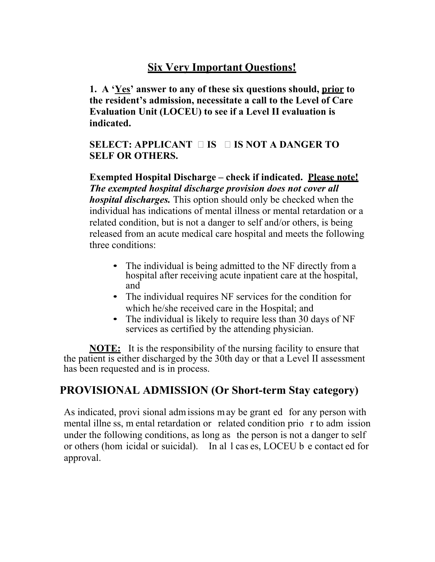# **Six Very Important Questions!**

**1. A 'Yes' answer to any of these six questions should, prior to the resident's admission, necessitate a call to the Level of Care Evaluation Unit (LOCEU) to see if a Level II evaluation is indicated.**

### **SELECT: APPLICANT IS IS NOT A DANGER TO SELF OR OTHERS.**

**Exempted Hospital Discharge – check if indicated. Please note!**  *The exempted hospital discharge provision does not cover all hospital discharges.* This option should only be checked when the individual has indications of mental illness or mental retardation or a related condition, but is not a danger to self and/or others, is being released from an acute medical care hospital and meets the following three conditions:

- The individual is being admitted to the NF directly from a hospital after receiving acute inpatient care at the hospital, and
- The individual requires NF services for the condition for which he/she received care in the Hospital; and
- The individual is likely to require less than 30 days of NF services as certified by the attending physician.

**NOTE:** It is the responsibility of the nursing facility to ensure that the patient is either discharged by the 30th day or that a Level II assessment has been requested and is in process.

## **PROVISIONAL ADMISSION (Or Short-term Stay category)**

As indicated, provi sional adm issions m ay be grant ed for any person with mental illne ss, m ental retardation or related condition prio r to adm ission under the following conditions, as long as the person is not a danger to self or others (hom icidal or suicidal). In al l cas es, LOCEU b e contact ed for approval.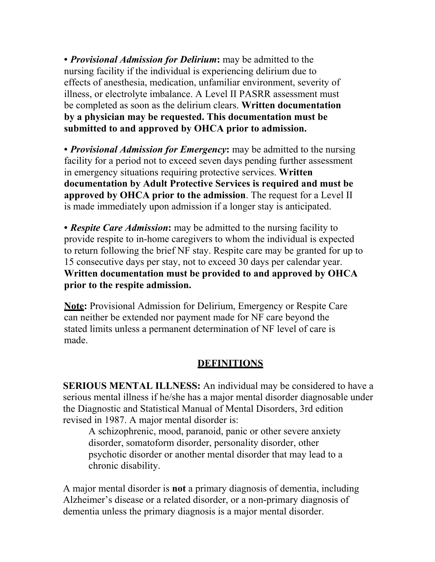• *Provisional Admission for Delirium***:** may be admitted to the nursing facility if the individual is experiencing delirium due to effects of anesthesia, medication, unfamiliar environment, severity of illness, or electrolyte imbalance. A Level II PASRR assessment must be completed as soon as the delirium clears. **Written documentation by a physician may be requested. This documentation must be submitted to and approved by OHCA prior to admission.**

• *Provisional Admission for Emergency***:** may be admitted to the nursing facility for a period not to exceed seven days pending further assessment in emergency situations requiring protective services. **Written documentation by Adult Protective Services is required and must be approved by OHCA prior to the admission**. The request for a Level II is made immediately upon admission if a longer stay is anticipated.

• *Respite Care Admission***:** may be admitted to the nursing facility to provide respite to in-home caregivers to whom the individual is expected to return following the brief NF stay. Respite care may be granted for up to 15 consecutive days per stay, not to exceed 30 days per calendar year. **Written documentation must be provided to and approved by OHCA prior to the respite admission.**

**Note:** Provisional Admission for Delirium, Emergency or Respite Care can neither be extended nor payment made for NF care beyond the stated limits unless a permanent determination of NF level of care is made.

### **DEFINITIONS**

**SERIOUS MENTAL ILLNESS:** An individual may be considered to have a serious mental illness if he/she has a major mental disorder diagnosable under the Diagnostic and Statistical Manual of Mental Disorders, 3rd edition revised in 1987. A major mental disorder is:

A schizophrenic, mood, paranoid, panic or other severe anxiety disorder, somatoform disorder, personality disorder, other psychotic disorder or another mental disorder that may lead to a chronic disability.

A major mental disorder is **not** a primary diagnosis of dementia, including Alzheimer's disease or a related disorder, or a non-primary diagnosis of dementia unless the primary diagnosis is a major mental disorder.